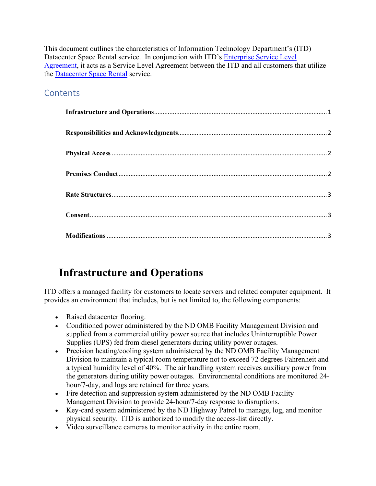This document outlines the characteristics of Information Technology Department's (ITD) Datacenter Space Rental service. In conjunction with ITD's [Enterprise Service Level](https://www.nd.gov/itd/node/4018)  [Agreement,](https://www.nd.gov/itd/node/4018) it acts as a Service Level Agreement between the ITD and all customers that utilize the [Datacenter Space Rental](https://www.nd.gov/itd/node/57) service.

#### **Contents**

# <span id="page-0-0"></span>**Infrastructure and Operations**

ITD offers a managed facility for customers to locate servers and related computer equipment. It provides an environment that includes, but is not limited to, the following components:

- Raised datacenter flooring.
- Conditioned power administered by the ND OMB Facility Management Division and supplied from a commercial utility power source that includes Uninterruptible Power Supplies (UPS) fed from diesel generators during utility power outages.
- Precision heating/cooling system administered by the ND OMB Facility Management Division to maintain a typical room temperature not to exceed 72 degrees Fahrenheit and a typical humidity level of 40%. The air handling system receives auxiliary power from the generators during utility power outages. Environmental conditions are monitored 24 hour/7-day, and logs are retained for three years.
- Fire detection and suppression system administered by the ND OMB Facility Management Division to provide 24-hour/7-day response to disruptions.
- Key-card system administered by the ND Highway Patrol to manage, log, and monitor physical security. ITD is authorized to modify the access-list directly.
- Video surveillance cameras to monitor activity in the entire room.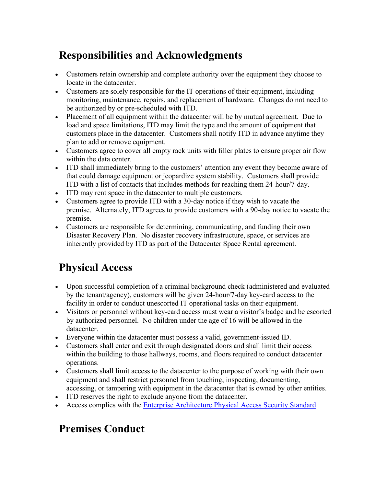# <span id="page-1-0"></span>**Responsibilities and Acknowledgments**

- Customers retain ownership and complete authority over the equipment they choose to locate in the datacenter.
- Customers are solely responsible for the IT operations of their equipment, including monitoring, maintenance, repairs, and replacement of hardware. Changes do not need to be authorized by or pre-scheduled with ITD.
- Placement of all equipment within the datacenter will be by mutual agreement. Due to load and space limitations, ITD may limit the type and the amount of equipment that customers place in the datacenter. Customers shall notify ITD in advance anytime they plan to add or remove equipment.
- Customers agree to cover all empty rack units with filler plates to ensure proper air flow within the data center.
- ITD shall immediately bring to the customers' attention any event they become aware of that could damage equipment or jeopardize system stability. Customers shall provide ITD with a list of contacts that includes methods for reaching them 24-hour/7-day.
- ITD may rent space in the datacenter to multiple customers.
- Customers agree to provide ITD with a 30-day notice if they wish to vacate the premise. Alternately, ITD agrees to provide customers with a 90-day notice to vacate the premise.
- Customers are responsible for determining, communicating, and funding their own Disaster Recovery Plan. No disaster recovery infrastructure, space, or services are inherently provided by ITD as part of the Datacenter Space Rental agreement.

# <span id="page-1-1"></span>**Physical Access**

- Upon successful completion of a criminal background check (administered and evaluated by the tenant/agency), customers will be given 24-hour/7-day key-card access to the facility in order to conduct unescorted IT operational tasks on their equipment.
- Visitors or personnel without key-card access must wear a visitor's badge and be escorted by authorized personnel. No children under the age of 16 will be allowed in the datacenter.
- Everyone within the datacenter must possess a valid, government-issued ID.
- Customers shall enter and exit through designated doors and shall limit their access within the building to those hallways, rooms, and floors required to conduct datacenter operations.
- Customers shall limit access to the datacenter to the purpose of working with their own equipment and shall restrict personnel from touching, inspecting, documenting, accessing, or tampering with equipment in the datacenter that is owned by other entities.
- ITD reserves the right to exclude anyone from the datacenter.
- Access complies with the [Enterprise Architecture Physical Access Security Standard](https://www.nd.gov/itd/node/282)

# <span id="page-1-2"></span>**Premises Conduct**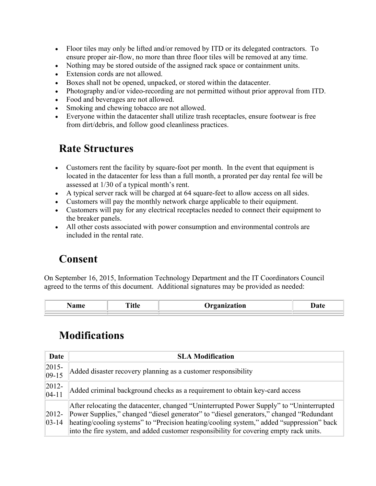- Floor tiles may only be lifted and/or removed by ITD or its delegated contractors. To ensure proper air-flow, no more than three floor tiles will be removed at any time.
- Nothing may be stored outside of the assigned rack space or containment units.
- Extension cords are not allowed.
- Boxes shall not be opened, unpacked, or stored within the datacenter.
- Photography and/or video-recording are not permitted without prior approval from ITD.
- Food and beverages are not allowed.
- Smoking and chewing tobacco are not allowed.
- Everyone within the datacenter shall utilize trash receptacles, ensure footwear is free from dirt/debris, and follow good cleanliness practices.

## <span id="page-2-0"></span>**Rate Structures**

- Customers rent the facility by square-foot per month. In the event that equipment is located in the datacenter for less than a full month, a prorated per day rental fee will be assessed at 1/30 of a typical month's rent.
- A typical server rack will be charged at 64 square-feet to allow access on all sides.
- Customers will pay the monthly network charge applicable to their equipment.
- Customers will pay for any electrical receptacles needed to connect their equipment to the breaker panels.
- All other costs associated with power consumption and environmental controls are included in the rental rate.

#### <span id="page-2-1"></span>**Consent**

On September 16, 2015, Information Technology Department and the IT Coordinators Council agreed to the terms of this document. Additional signatures may be provided as needed:

<span id="page-2-2"></span>

| ____ | --------<br>$  -$<br>___ |  |
|------|--------------------------|--|
|      |                          |  |
|      |                          |  |

### **Modifications**

| Date                     | <b>SLA Modification</b>                                                                                                                                                                                                                                                                                                                                                  |
|--------------------------|--------------------------------------------------------------------------------------------------------------------------------------------------------------------------------------------------------------------------------------------------------------------------------------------------------------------------------------------------------------------------|
| $ 2015 -$<br>$ 09-15$    | Added disaster recovery planning as a customer responsibility                                                                                                                                                                                                                                                                                                            |
| $ 2012 -$<br>$ 04-11 $   | Added criminal background checks as a requirement to obtain key-card access                                                                                                                                                                                                                                                                                              |
| $ 2012 -$<br>$ 03 - 14 $ | After relocating the datacenter, changed "Uninterrupted Power Supply" to "Uninterrupted"<br>Power Supplies," changed "diesel generator" to "diesel generators," changed "Redundant<br>heating/cooling systems" to "Precision heating/cooling system," added "suppression" back<br>into the fire system, and added customer responsibility for covering empty rack units. |